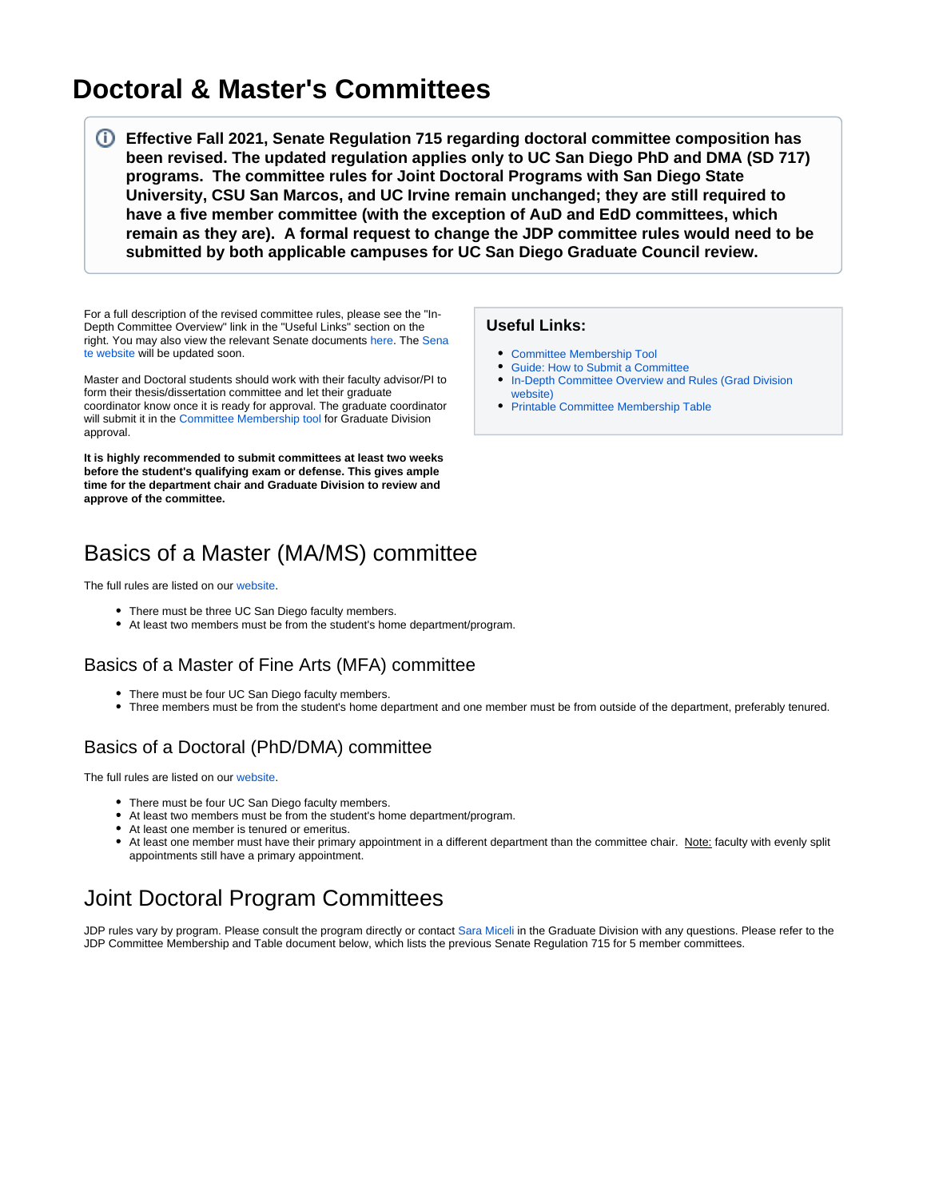# **Doctoral & Master's Committees**

**Effective Fall 2021, Senate Regulation 715 regarding doctoral committee composition has been revised. The updated regulation applies only to UC San Diego PhD and DMA (SD 717) programs. The committee rules for Joint Doctoral Programs with San Diego State University, CSU San Marcos, and UC Irvine remain unchanged; they are still required to have a five member committee (with the exception of AuD and EdD committees, which remain as they are). A formal request to change the JDP committee rules would need to be submitted by both applicable campuses for UC San Diego Graduate Council review.**

For a full description of the revised committee rules, please see the "In-Depth Committee Overview" link in the "Useful Links" section on the right. You may also view the relevant Senate documents [here.](https://senate.ucsd.edu/media/528816/gc-report-revisions-to-sd-reg-715-and-717.pdf) The [Sena](https://senate.ucsd.edu/Operating-Procedures/Senate-Manual/Regulations/715) [te website](https://senate.ucsd.edu/Operating-Procedures/Senate-Manual/Regulations/715) will be updated soon.

Master and Doctoral students should work with their faculty advisor/PI to form their thesis/dissertation committee and let their graduate coordinator know once it is ready for approval. The graduate coordinator will submit it in the [Committee Membership tool](https://gradforms.ucsd.edu/committee/staff/login.php) for Graduate Division approval.

**It is highly recommended to submit committees at least two weeks before the student's qualifying exam or defense. This gives ample time for the department chair and Graduate Division to review and approve of the committee.**

# Basics of a Master (MA/MS) committee

The full rules are listed on our [website.](https://grad.ucsd.edu/academics/progress-to-degree/committees.html#Appointment-of-the-Master%27s-The)

- There must be three UC San Diego faculty members.
- At least two members must be from the student's home department/program.

### Basics of a Master of Fine Arts (MFA) committee

- There must be four UC San Diego faculty members.
- Three members must be from the student's home department and one member must be from outside of the department, preferably tenured.

### Basics of a Doctoral (PhD/DMA) committee

The full rules are listed on our [website.](https://grad.ucsd.edu/academics/progress-to-degree/committees.html#Appointment-of-the-Doctoral-Com)

- There must be four UC San Diego faculty members.
- At least two members must be from the student's home department/program.
- At least one member is tenured or emeritus.
- At least one member must have their primary appointment in a different department than the committee chair. Note: faculty with evenly split appointments still have a primary appointment.

## Joint Doctoral Program Committees

JDP rules vary by program. Please consult the program directly or contact [Sara Miceli](mailto:smiceli@ucsd.edu) in the Graduate Division with any questions. Please refer to the JDP Committee Membership and Table document below, which lists the previous Senate Regulation 715 for 5 member committees.

#### **Useful Links:**

- [Committee Membership Tool](https://gradforms.ucsd.edu/committee/staff/login.php)
- [Guide: How to Submit a Committee](https://collab.ucsd.edu/download/attachments/120199250/CommitteeSubmissionGuide.pdf?version=1&modificationDate=1631809637000&api=v2)
- In-Depth Committee Overview and Rules (Grad Division [website\)](https://grad.ucsd.edu/academics/progress-to-degree/committees.html)
- **[Printable Committee Membership Table](https://collab.ucsd.edu/download/attachments/120199250/CommitteeMembershipTable2021_coloredtitles.pdf?version=1&modificationDate=1644285438000&api=v2)**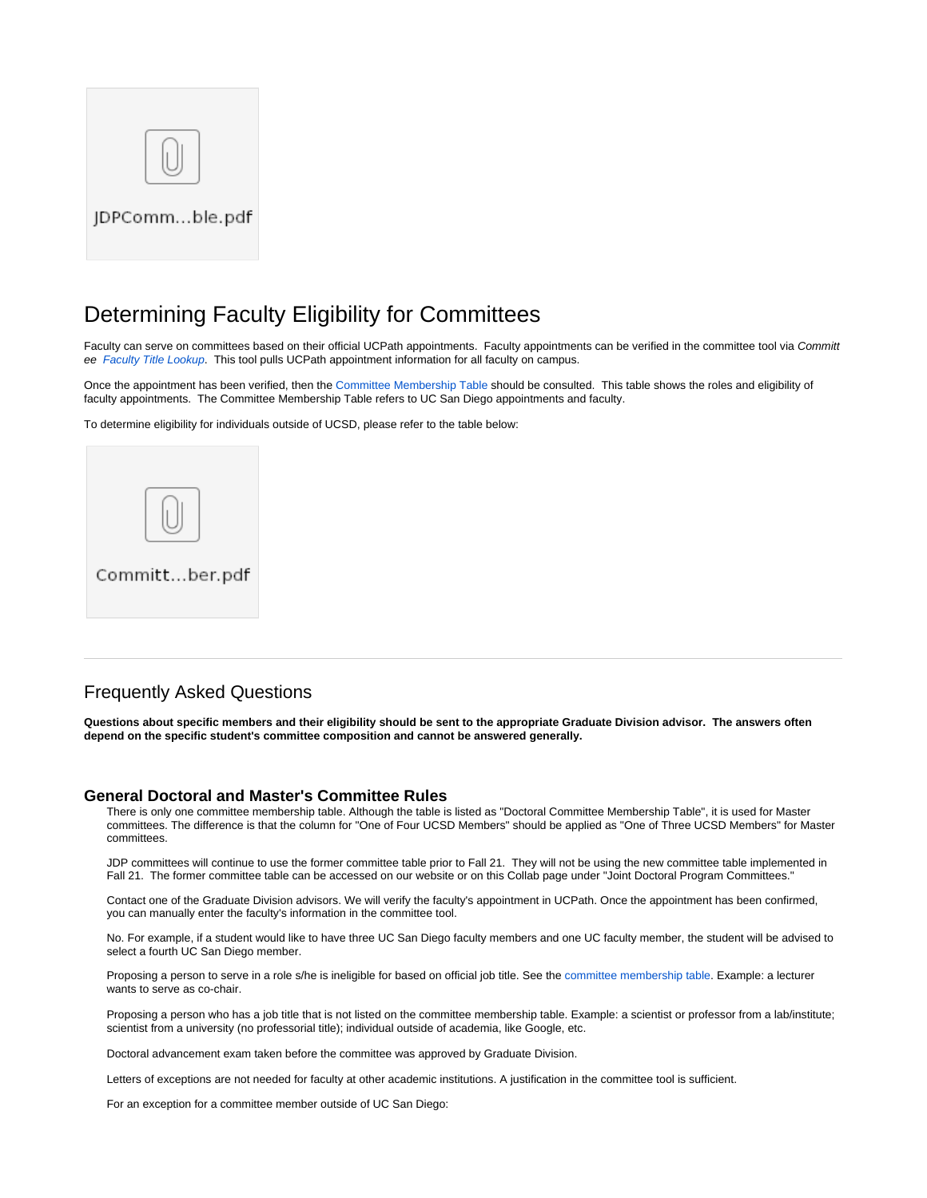

## Determining Faculty Eligibility for Committees

Faculty can serve on committees based on their official UCPath appointments. Faculty appointments can be verified in the committee tool via Committ ee [Faculty Title Lookup](https://gradforms.ucsd.edu/committee/staff/facinfo.php). This tool pulls UCPath appointment information for all faculty on campus.

Once the appointment has been verified, then the [Committee Membership Table](https://grad.ucsd.edu/academics/progress-to-degree/committees.html#Doctoral-Committee-Membership-T) should be consulted. This table shows the roles and eligibility of faculty appointments. The Committee Membership Table refers to UC San Diego appointments and faculty.

To determine eligibility for individuals outside of UCSD, please refer to the table below:



### Frequently Asked Questions

**Questions about specific members and their eligibility should be sent to the appropriate Graduate Division advisor. The answers often depend on the specific student's committee composition and cannot be answered generally.**

#### **General Doctoral and Master's Committee Rules**

There is only one committee membership table. Although the table is listed as "Doctoral Committee Membership Table", it is used for Master committees. The difference is that the column for "One of Four UCSD Members" should be applied as "One of Three UCSD Members" for Master committees.

JDP committees will continue to use the former committee table prior to Fall 21. They will not be using the new committee table implemented in Fall 21. The former committee table can be accessed on our website or on this Collab page under "Joint Doctoral Program Committees."

Contact one of the Graduate Division advisors. We will verify the faculty's appointment in UCPath. Once the appointment has been confirmed, you can manually enter the faculty's information in the committee tool.

No. For example, if a student would like to have three UC San Diego faculty members and one UC faculty member, the student will be advised to select a fourth UC San Diego member.

Proposing a person to serve in a role s/he is ineligible for based on official job title. See the [committee membership table](http://grad.ucsd.edu/academics/progress-to-degree/committees.html#Doctoral-Committee-Membership-T). Example: a lecturer wants to serve as co-chair.

Proposing a person who has a job title that is not listed on the committee membership table. Example: a scientist or professor from a lab/institute; scientist from a university (no professorial title); individual outside of academia, like Google, etc.

Doctoral advancement exam taken before the committee was approved by Graduate Division.

Letters of exceptions are not needed for faculty at other academic institutions. A justification in the committee tool is sufficient.

For an exception for a committee member outside of UC San Diego: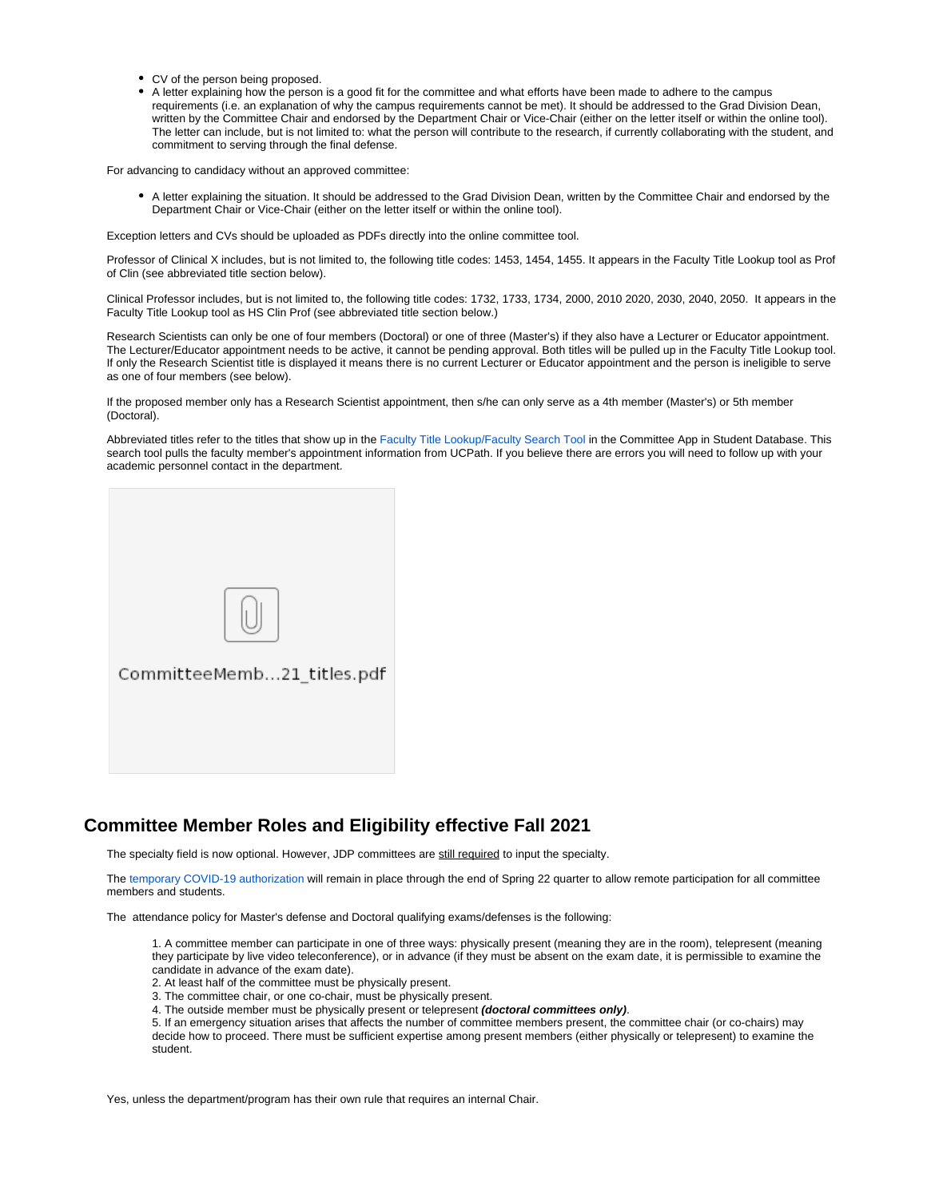- CV of the person being proposed.
- A letter explaining how the person is a good fit for the committee and what efforts have been made to adhere to the campus requirements (i.e. an explanation of why the campus requirements cannot be met). It should be addressed to the Grad Division Dean, written by the Committee Chair and endorsed by the Department Chair or Vice-Chair (either on the letter itself or within the online tool). The letter can include, but is not limited to: what the person will contribute to the research, if currently collaborating with the student, and commitment to serving through the final defense.

For advancing to candidacy without an approved committee:

A letter explaining the situation. It should be addressed to the Grad Division Dean, written by the Committee Chair and endorsed by the Department Chair or Vice-Chair (either on the letter itself or within the online tool).

Exception letters and CVs should be uploaded as PDFs directly into the online committee tool.

Professor of Clinical X includes, but is not limited to, the following title codes: 1453, 1454, 1455. It appears in the Faculty Title Lookup tool as Prof of Clin (see abbreviated title section below).

Clinical Professor includes, but is not limited to, the following title codes: 1732, 1733, 1734, 2000, 2010 2020, 2030, 2040, 2050. It appears in the Faculty Title Lookup tool as HS Clin Prof (see abbreviated title section below.)

Research Scientists can only be one of four members (Doctoral) or one of three (Master's) if they also have a Lecturer or Educator appointment. The Lecturer/Educator appointment needs to be active, it cannot be pending approval. Both titles will be pulled up in the Faculty Title Lookup tool. If only the Research Scientist title is displayed it means there is no current Lecturer or Educator appointment and the person is ineligible to serve as one of four members (see below).

If the proposed member only has a Research Scientist appointment, then s/he can only serve as a 4th member (Master's) or 5th member (Doctoral).

Abbreviated titles refer to the titles that show up in the [Faculty Title Lookup/Faculty Search Tool](https://gradforms.ucsd.edu/committee/staff/facinfo.php) in the Committee App in Student Database. This search tool pulls the faculty member's appointment information from UCPath. If you believe there are errors you will need to follow up with your academic personnel contact in the department.



### **Committee Member Roles and Eligibility effective Fall 2021**

The specialty field is now optional. However, JDP committees are still required to input the specialty.

The [temporary COVID-19 authorization](https://grad.ucsd.edu/academics/progress-to-degree/committees.html#Graduate-Council-Actions-) will remain in place through the end of Spring 22 quarter to allow remote participation for all committee members and students.

The attendance policy for Master's defense and Doctoral qualifying exams/defenses is the following:

1. A committee member can participate in one of three ways: physically present (meaning they are in the room), telepresent (meaning they participate by live video teleconference), or in advance (if they must be absent on the exam date, it is permissible to examine the candidate in advance of the exam date).

- 2. At least half of the committee must be physically present.
- 3. The committee chair, or one co-chair, must be physically present.
- 4. The outside member must be physically present or telepresent **(doctoral committees only)**.

5. If an emergency situation arises that affects the number of committee members present, the committee chair (or co-chairs) may decide how to proceed. There must be sufficient expertise among present members (either physically or telepresent) to examine the student.

Yes, unless the department/program has their own rule that requires an internal Chair.